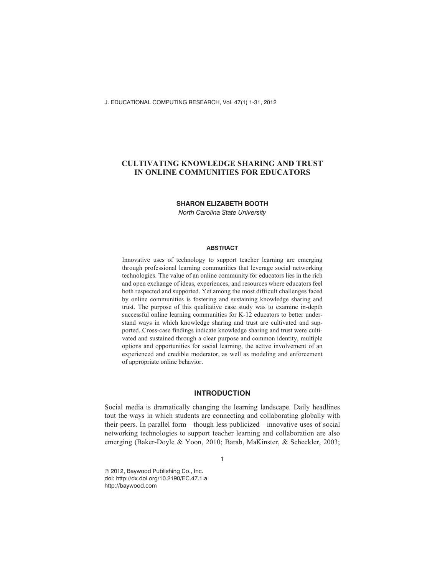# **CULTIVATING KNOWLEDGE SHARING AND TRUST IN ONLINE COMMUNITIES FOR EDUCATORS**

# **SHARON ELIZABETH BOOTH**

*North Carolina State University*

## **ABSTRACT**

Innovative uses of technology to support teacher learning are emerging through professional learning communities that leverage social networking technologies. The value of an online community for educators lies in the rich and open exchange of ideas, experiences, and resources where educators feel both respected and supported. Yet among the most difficult challenges faced by online communities is fostering and sustaining knowledge sharing and trust. The purpose of this qualitative case study was to examine in-depth successful online learning communities for K-12 educators to better understand ways in which knowledge sharing and trust are cultivated and supported. Cross-case findings indicate knowledge sharing and trust were cultivated and sustained through a clear purpose and common identity, multiple options and opportunities for social learning, the active involvement of an experienced and credible moderator, as well as modeling and enforcement of appropriate online behavior.

# **INTRODUCTION**

Social media is dramatically changing the learning landscape. Daily headlines tout the ways in which students are connecting and collaborating globally with their peers. In parallel form—though less publicized—innovative uses of social networking technologies to support teacher learning and collaboration are also emerging (Baker-Doyle & Yoon, 2010; Barab, MaKinster, & Scheckler, 2003;

1

 $©$  2012, Baywood Publishing Co., Inc. doi: http://dx.doi.org/10.2190/EC.47.1.a http://baywood.com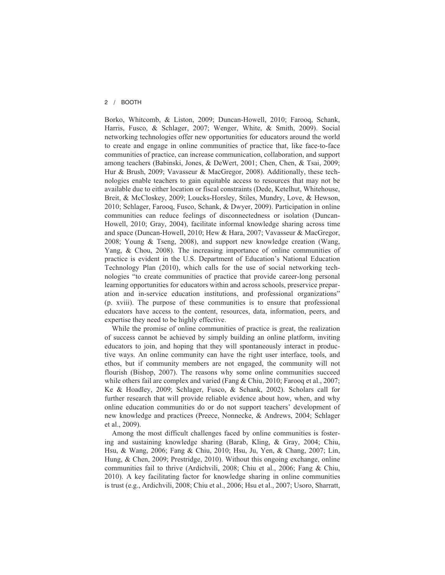Borko, Whitcomb, & Liston, 2009; Duncan-Howell, 2010; Farooq, Schank, Harris, Fusco, & Schlager, 2007; Wenger, White, & Smith, 2009). Social networking technologies offer new opportunities for educators around the world to create and engage in online communities of practice that, like face-to-face communities of practice, can increase communication, collaboration, and support among teachers (Babinski, Jones, & DeWert, 2001; Chen, Chen, & Tsai, 2009; Hur & Brush, 2009; Vavasseur & MacGregor, 2008). Additionally, these technologies enable teachers to gain equitable access to resources that may not be available due to either location or fiscal constraints (Dede, Ketelhut, Whitehouse, Breit, & McCloskey, 2009; Loucks-Horsley, Stiles, Mundry, Love, & Hewson, 2010; Schlager, Farooq, Fusco, Schank, & Dwyer, 2009). Participation in online communities can reduce feelings of disconnectedness or isolation (Duncan-Howell, 2010; Gray, 2004), facilitate informal knowledge sharing across time and space (Duncan-Howell, 2010; Hew & Hara, 2007; Vavasseur & MacGregor, 2008; Young & Tseng, 2008), and support new knowledge creation (Wang, Yang, & Chou, 2008). The increasing importance of online communities of practice is evident in the U.S. Department of Education's National Education Technology Plan (2010), which calls for the use of social networking technologies "to create communities of practice that provide career-long personal learning opportunities for educators within and across schools, preservice preparation and in-service education institutions, and professional organizations" (p. xviii). The purpose of these communities is to ensure that professional educators have access to the content, resources, data, information, peers, and expertise they need to be highly effective.

While the promise of online communities of practice is great, the realization of success cannot be achieved by simply building an online platform, inviting educators to join, and hoping that they will spontaneously interact in productive ways. An online community can have the right user interface, tools, and ethos, but if community members are not engaged, the community will not flourish (Bishop, 2007). The reasons why some online communities succeed while others fail are complex and varied (Fang & Chiu, 2010; Farooq et al., 2007; Ke & Hoadley, 2009; Schlager, Fusco, & Schank, 2002). Scholars call for further research that will provide reliable evidence about how, when, and why online education communities do or do not support teachers' development of new knowledge and practices (Preece, Nonnecke, & Andrews, 2004; Schlager et al., 2009).

Among the most difficult challenges faced by online communities is fostering and sustaining knowledge sharing (Barab, Kling, & Gray, 2004; Chiu, Hsu, & Wang, 2006; Fang & Chiu, 2010; Hsu, Ju, Yen, & Chang, 2007; Lin, Hung, & Chen, 2009; Prestridge, 2010). Without this ongoing exchange, online communities fail to thrive (Ardichvili, 2008; Chiu et al., 2006; Fang & Chiu, 2010). A key facilitating factor for knowledge sharing in online communities is trust (e.g., Ardichvili, 2008; Chiu et al., 2006; Hsu et al., 2007; Usoro, Sharratt,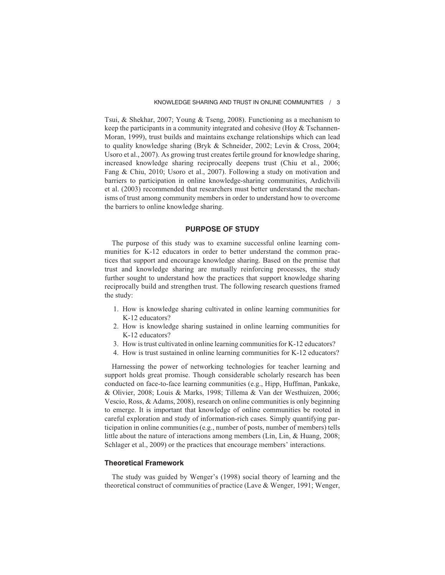Tsui, & Shekhar, 2007; Young & Tseng, 2008). Functioning as a mechanism to keep the participants in a community integrated and cohesive (Hoy & Tschannen-Moran, 1999), trust builds and maintains exchange relationships which can lead to quality knowledge sharing (Bryk & Schneider, 2002; Levin & Cross, 2004; Usoro et al., 2007). As growing trust creates fertile ground for knowledge sharing, increased knowledge sharing reciprocally deepens trust (Chiu et al., 2006; Fang & Chiu, 2010; Usoro et al., 2007). Following a study on motivation and barriers to participation in online knowledge-sharing communities, Ardichvili et al. (2003) recommended that researchers must better understand the mechanisms of trust among community members in order to understand how to overcome the barriers to online knowledge sharing.

## **PURPOSE OF STUDY**

The purpose of this study was to examine successful online learning communities for K-12 educators in order to better understand the common practices that support and encourage knowledge sharing. Based on the premise that trust and knowledge sharing are mutually reinforcing processes, the study further sought to understand how the practices that support knowledge sharing reciprocally build and strengthen trust. The following research questions framed the study:

- 1. How is knowledge sharing cultivated in online learning communities for K-12 educators?
- 2. How is knowledge sharing sustained in online learning communities for K-12 educators?
- 3. How is trust cultivated in online learning communities for K-12 educators?
- 4. How is trust sustained in online learning communities for K-12 educators?

Harnessing the power of networking technologies for teacher learning and support holds great promise. Though considerable scholarly research has been conducted on face-to-face learning communities (e.g., Hipp, Huffman, Pankake, & Olivier, 2008; Louis & Marks, 1998; Tillema & Van der Westhuizen, 2006; Vescio, Ross, & Adams, 2008), research on online communities is only beginning to emerge. It is important that knowledge of online communities be rooted in careful exploration and study of information-rich cases. Simply quantifying participation in online communities (e.g., number of posts, number of members) tells little about the nature of interactions among members (Lin, Lin, & Huang, 2008; Schlager et al., 2009) or the practices that encourage members' interactions.

# **Theoretical Framework**

The study was guided by Wenger's (1998) social theory of learning and the theoretical construct of communities of practice (Lave & Wenger, 1991; Wenger,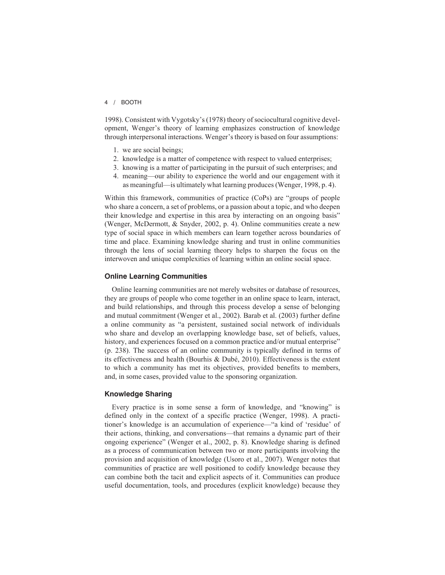1998). Consistent with Vygotsky's (1978) theory of sociocultural cognitive development, Wenger's theory of learning emphasizes construction of knowledge through interpersonal interactions. Wenger's theory is based on four assumptions:

- 1. we are social beings;
- 2. knowledge is a matter of competence with respect to valued enterprises;
- 3. knowing is a matter of participating in the pursuit of such enterprises; and
- 4. meaning—our ability to experience the world and our engagement with it as meaningful—is ultimately what learning produces (Wenger, 1998, p. 4).

Within this framework, communities of practice (CoPs) are "groups of people who share a concern, a set of problems, or a passion about a topic, and who deepen their knowledge and expertise in this area by interacting on an ongoing basis" (Wenger, McDermott, & Snyder, 2002, p. 4). Online communities create a new type of social space in which members can learn together across boundaries of time and place. Examining knowledge sharing and trust in online communities through the lens of social learning theory helps to sharpen the focus on the interwoven and unique complexities of learning within an online social space.

### **Online Learning Communities**

Online learning communities are not merely websites or database of resources, they are groups of people who come together in an online space to learn, interact, and build relationships, and through this process develop a sense of belonging and mutual commitment (Wenger et al., 2002). Barab et al. (2003) further define a online community as "a persistent, sustained social network of individuals who share and develop an overlapping knowledge base, set of beliefs, values, history, and experiences focused on a common practice and/or mutual enterprise" (p. 238). The success of an online community is typically defined in terms of its effectiveness and health (Bourhis & Dubé, 2010). Effectiveness is the extent to which a community has met its objectives, provided benefits to members, and, in some cases, provided value to the sponsoring organization.

## **Knowledge Sharing**

Every practice is in some sense a form of knowledge, and "knowing" is defined only in the context of a specific practice (Wenger, 1998). A practitioner's knowledge is an accumulation of experience—"a kind of 'residue' of their actions, thinking, and conversations—that remains a dynamic part of their ongoing experience" (Wenger et al., 2002, p. 8). Knowledge sharing is defined as a process of communication between two or more participants involving the provision and acquisition of knowledge (Usoro et al., 2007). Wenger notes that communities of practice are well positioned to codify knowledge because they can combine both the tacit and explicit aspects of it. Communities can produce useful documentation, tools, and procedures (explicit knowledge) because they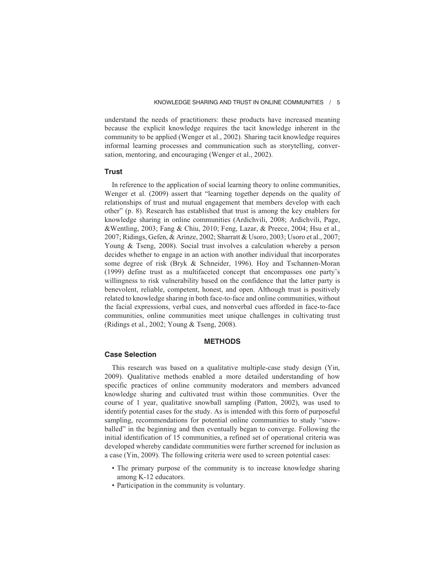understand the needs of practitioners: these products have increased meaning because the explicit knowledge requires the tacit knowledge inherent in the community to be applied (Wenger et al., 2002). Sharing tacit knowledge requires informal learning processes and communication such as storytelling, conversation, mentoring, and encouraging (Wenger et al., 2002).

### **Trust**

In reference to the application of social learning theory to online communities, Wenger et al. (2009) assert that "learning together depends on the quality of relationships of trust and mutual engagement that members develop with each other" (p. 8). Research has established that trust is among the key enablers for knowledge sharing in online communities (Ardichvili, 2008; Ardichvili, Page, &Wentling, 2003; Fang & Chiu, 2010; Feng, Lazar, & Preece, 2004; Hsu et al., 2007; Ridings, Gefen, & Arinze, 2002; Sharratt & Usoro, 2003; Usoro et al., 2007; Young & Tseng, 2008). Social trust involves a calculation whereby a person decides whether to engage in an action with another individual that incorporates some degree of risk (Bryk & Schneider, 1996). Hoy and Tschannen-Moran (1999) define trust as a multifaceted concept that encompasses one party's willingness to risk vulnerability based on the confidence that the latter party is benevolent, reliable, competent, honest, and open. Although trust is positively related to knowledge sharing in both face-to-face and online communities, without the facial expressions, verbal cues, and nonverbal cues afforded in face-to-face communities, online communities meet unique challenges in cultivating trust (Ridings et al., 2002; Young & Tseng, 2008).

#### **METHODS**

## **Case Selection**

This research was based on a qualitative multiple-case study design (Yin, 2009). Qualitative methods enabled a more detailed understanding of how specific practices of online community moderators and members advanced knowledge sharing and cultivated trust within those communities. Over the course of 1 year, qualitative snowball sampling (Patton, 2002), was used to identify potential cases for the study. As is intended with this form of purposeful sampling, recommendations for potential online communities to study "snowballed" in the beginning and then eventually began to converge. Following the initial identification of 15 communities, a refined set of operational criteria was developed whereby candidate communities were further screened for inclusion as a case (Yin, 2009). The following criteria were used to screen potential cases:

- The primary purpose of the community is to increase knowledge sharing among K-12 educators.
- Participation in the community is voluntary.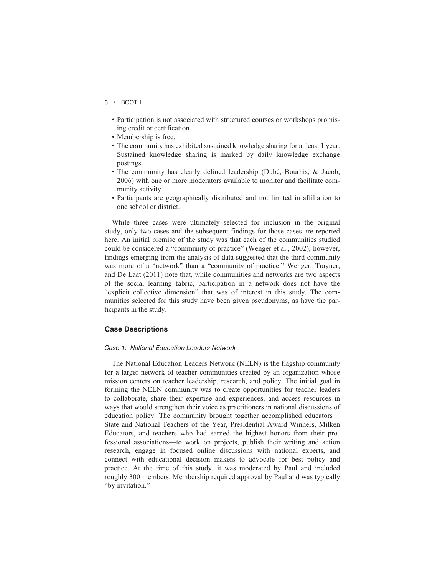- Participation is not associated with structured courses or workshops promising credit or certification.
- Membership is free.
- The community has exhibited sustained knowledge sharing for at least 1 year. Sustained knowledge sharing is marked by daily knowledge exchange postings.
- The community has clearly defined leadership (Dubé, Bourhis, & Jacob, 2006) with one or more moderators available to monitor and facilitate community activity.
- Participants are geographically distributed and not limited in affiliation to one school or district.

While three cases were ultimately selected for inclusion in the original study, only two cases and the subsequent findings for those cases are reported here. An initial premise of the study was that each of the communities studied could be considered a "community of practice" (Wenger et al., 2002); however, findings emerging from the analysis of data suggested that the third community was more of a "network" than a "community of practice." Wenger, Trayner, and De Laat (2011) note that, while communities and networks are two aspects of the social learning fabric, participation in a network does not have the "explicit collective dimension" that was of interest in this study. The communities selected for this study have been given pseudonyms, as have the participants in the study.

## **Case Descriptions**

## *Case 1: National Education Leaders Network*

The National Education Leaders Network (NELN) is the flagship community for a larger network of teacher communities created by an organization whose mission centers on teacher leadership, research, and policy. The initial goal in forming the NELN community was to create opportunities for teacher leaders to collaborate, share their expertise and experiences, and access resources in ways that would strengthen their voice as practitioners in national discussions of education policy. The community brought together accomplished educators— State and National Teachers of the Year, Presidential Award Winners, Milken Educators, and teachers who had earned the highest honors from their professional associations—to work on projects, publish their writing and action research, engage in focused online discussions with national experts, and connect with educational decision makers to advocate for best policy and practice. At the time of this study, it was moderated by Paul and included roughly 300 members. Membership required approval by Paul and was typically "by invitation."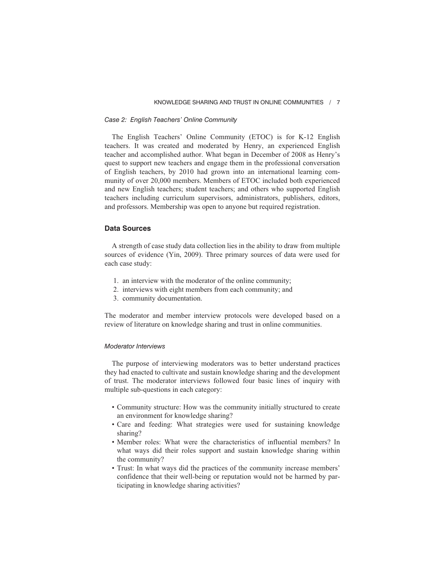## *Case 2: English Teachers' Online Community*

The English Teachers' Online Community (ETOC) is for K-12 English teachers. It was created and moderated by Henry, an experienced English teacher and accomplished author. What began in December of 2008 as Henry's quest to support new teachers and engage them in the professional conversation of English teachers, by 2010 had grown into an international learning community of over 20,000 members. Members of ETOC included both experienced and new English teachers; student teachers; and others who supported English teachers including curriculum supervisors, administrators, publishers, editors, and professors. Membership was open to anyone but required registration.

# **Data Sources**

A strength of case study data collection lies in the ability to draw from multiple sources of evidence (Yin, 2009). Three primary sources of data were used for each case study:

- 1. an interview with the moderator of the online community;
- 2. interviews with eight members from each community; and
- 3. community documentation.

The moderator and member interview protocols were developed based on a review of literature on knowledge sharing and trust in online communities.

## *Moderator Interviews*

The purpose of interviewing moderators was to better understand practices they had enacted to cultivate and sustain knowledge sharing and the development of trust. The moderator interviews followed four basic lines of inquiry with multiple sub-questions in each category:

- Community structure: How was the community initially structured to create an environment for knowledge sharing?
- Care and feeding: What strategies were used for sustaining knowledge sharing?
- Member roles: What were the characteristics of influential members? In what ways did their roles support and sustain knowledge sharing within the community?
- Trust: In what ways did the practices of the community increase members' confidence that their well-being or reputation would not be harmed by participating in knowledge sharing activities?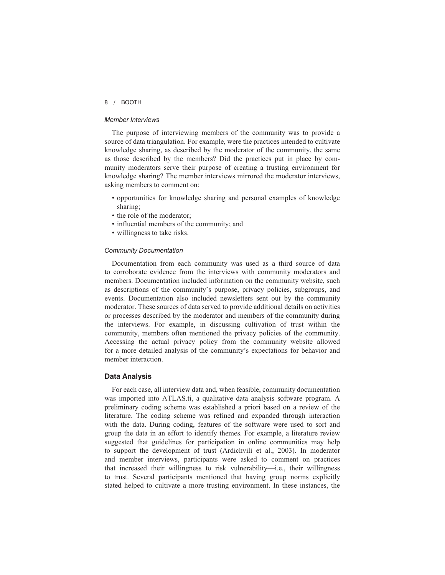## *Member Interviews*

The purpose of interviewing members of the community was to provide a source of data triangulation. For example, were the practices intended to cultivate knowledge sharing, as described by the moderator of the community, the same as those described by the members? Did the practices put in place by community moderators serve their purpose of creating a trusting environment for knowledge sharing? The member interviews mirrored the moderator interviews, asking members to comment on:

- opportunities for knowledge sharing and personal examples of knowledge sharing;
- the role of the moderator;
- influential members of the community; and
- willingness to take risks.

## *Community Documentation*

Documentation from each community was used as a third source of data to corroborate evidence from the interviews with community moderators and members. Documentation included information on the community website, such as descriptions of the community's purpose, privacy policies, subgroups, and events. Documentation also included newsletters sent out by the community moderator. These sources of data served to provide additional details on activities or processes described by the moderator and members of the community during the interviews. For example, in discussing cultivation of trust within the community, members often mentioned the privacy policies of the community. Accessing the actual privacy policy from the community website allowed for a more detailed analysis of the community's expectations for behavior and member interaction.

## **Data Analysis**

For each case, all interview data and, when feasible, community documentation was imported into ATLAS.ti, a qualitative data analysis software program. A preliminary coding scheme was established a priori based on a review of the literature. The coding scheme was refined and expanded through interaction with the data. During coding, features of the software were used to sort and group the data in an effort to identify themes. For example, a literature review suggested that guidelines for participation in online communities may help to support the development of trust (Ardichvili et al., 2003). In moderator and member interviews, participants were asked to comment on practices that increased their willingness to risk vulnerability—i.e., their willingness to trust. Several participants mentioned that having group norms explicitly stated helped to cultivate a more trusting environment. In these instances, the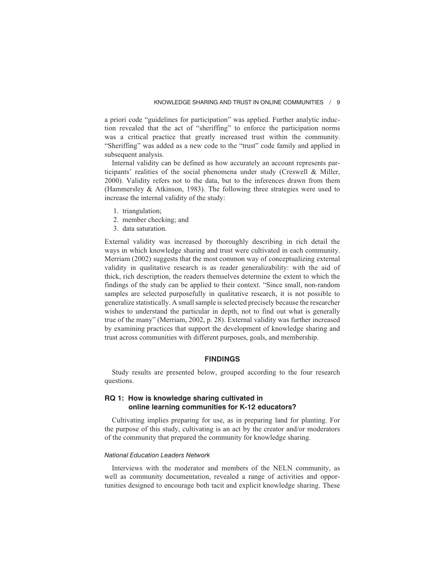a priori code "guidelines for participation" was applied. Further analytic induction revealed that the act of "sheriffing" to enforce the participation norms was a critical practice that greatly increased trust within the community. "Sheriffing" was added as a new code to the "trust" code family and applied in subsequent analysis.

Internal validity can be defined as how accurately an account represents participants' realities of the social phenomena under study (Creswell & Miller, 2000). Validity refers not to the data, but to the inferences drawn from them (Hammersley & Atkinson, 1983). The following three strategies were used to increase the internal validity of the study:

- 1. triangulation;
- 2. member checking; and
- 3. data saturation.

External validity was increased by thoroughly describing in rich detail the ways in which knowledge sharing and trust were cultivated in each community. Merriam (2002) suggests that the most common way of conceptualizing external validity in qualitative research is as reader generalizability: with the aid of thick, rich description, the readers themselves determine the extent to which the findings of the study can be applied to their context. "Since small, non-random samples are selected purposefully in qualitative research, it is not possible to generalize statistically. A small sample is selected precisely because the researcher wishes to understand the particular in depth, not to find out what is generally true of the many" (Merriam, 2002, p. 28). External validity was further increased by examining practices that support the development of knowledge sharing and trust across communities with different purposes, goals, and membership.

# **FINDINGS**

Study results are presented below, grouped according to the four research questions.

# **RQ 1: How is knowledge sharing cultivated in online learning communities for K-12 educators?**

Cultivating implies preparing for use, as in preparing land for planting. For the purpose of this study, cultivating is an act by the creator and/or moderators of the community that prepared the community for knowledge sharing.

## *National Education Leaders Network*

Interviews with the moderator and members of the NELN community, as well as community documentation, revealed a range of activities and opportunities designed to encourage both tacit and explicit knowledge sharing. These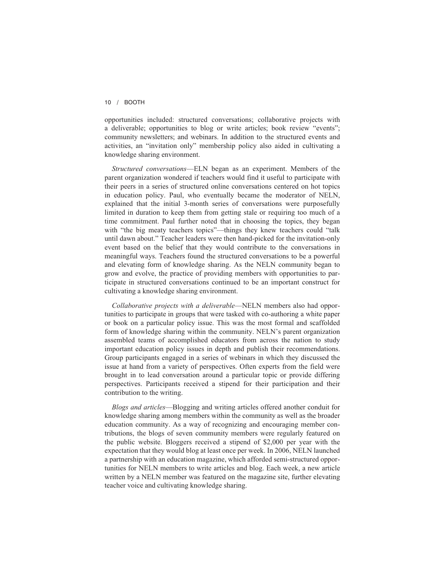opportunities included: structured conversations; collaborative projects with a deliverable; opportunities to blog or write articles; book review "events"; community newsletters; and webinars. In addition to the structured events and activities, an "invitation only" membership policy also aided in cultivating a knowledge sharing environment.

*Structured conversations*—ELN began as an experiment. Members of the parent organization wondered if teachers would find it useful to participate with their peers in a series of structured online conversations centered on hot topics in education policy. Paul, who eventually became the moderator of NELN, explained that the initial 3-month series of conversations were purposefully limited in duration to keep them from getting stale or requiring too much of a time commitment. Paul further noted that in choosing the topics, they began with "the big meaty teachers topics"—things they knew teachers could "talk until dawn about." Teacher leaders were then hand-picked for the invitation-only event based on the belief that they would contribute to the conversations in meaningful ways. Teachers found the structured conversations to be a powerful and elevating form of knowledge sharing. As the NELN community began to grow and evolve, the practice of providing members with opportunities to participate in structured conversations continued to be an important construct for cultivating a knowledge sharing environment.

*Collaborative projects with a deliverable*—NELN members also had opportunities to participate in groups that were tasked with co-authoring a white paper or book on a particular policy issue. This was the most formal and scaffolded form of knowledge sharing within the community. NELN's parent organization assembled teams of accomplished educators from across the nation to study important education policy issues in depth and publish their recommendations. Group participants engaged in a series of webinars in which they discussed the issue at hand from a variety of perspectives. Often experts from the field were brought in to lead conversation around a particular topic or provide differing perspectives. Participants received a stipend for their participation and their contribution to the writing.

*Blogs and articles*—Blogging and writing articles offered another conduit for knowledge sharing among members within the community as well as the broader education community. As a way of recognizing and encouraging member contributions, the blogs of seven community members were regularly featured on the public website. Bloggers received a stipend of \$2,000 per year with the expectation that they would blog at least once per week. In 2006, NELN launched a partnership with an education magazine, which afforded semi-structured opportunities for NELN members to write articles and blog. Each week, a new article written by a NELN member was featured on the magazine site, further elevating teacher voice and cultivating knowledge sharing.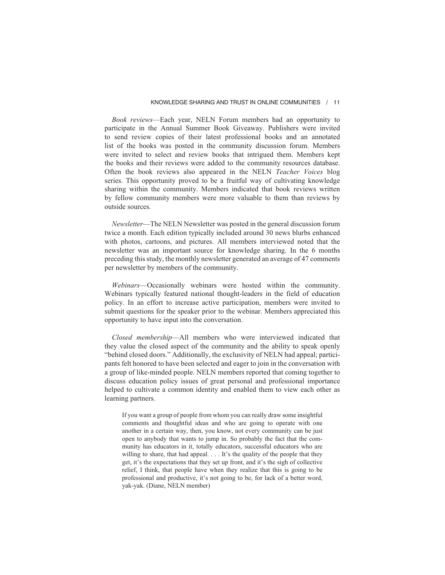*Book reviews*—Each year, NELN Forum members had an opportunity to participate in the Annual Summer Book Giveaway. Publishers were invited to send review copies of their latest professional books and an annotated list of the books was posted in the community discussion forum. Members were invited to select and review books that intrigued them. Members kept the books and their reviews were added to the community resources database. Often the book reviews also appeared in the NELN *Teacher Voices* blog series. This opportunity proved to be a fruitful way of cultivating knowledge sharing within the community. Members indicated that book reviews written by fellow community members were more valuable to them than reviews by outside sources.

*Newsletter*—The NELN Newsletter was posted in the general discussion forum twice a month. Each edition typically included around 30 news blurbs enhanced with photos, cartoons, and pictures. All members interviewed noted that the newsletter was an important source for knowledge sharing. In the 6 months preceding this study, the monthly newsletter generated an average of 47 comments per newsletter by members of the community.

*Webinars*—Occasionally webinars were hosted within the community. Webinars typically featured national thought-leaders in the field of education policy. In an effort to increase active participation, members were invited to submit questions for the speaker prior to the webinar. Members appreciated this opportunity to have input into the conversation.

*Closed membership*—All members who were interviewed indicated that they value the closed aspect of the community and the ability to speak openly "behind closed doors." Additionally, the exclusivity of NELN had appeal; participants felt honored to have been selected and eager to join in the conversation with a group of like-minded people. NELN members reported that coming together to discuss education policy issues of great personal and professional importance helped to cultivate a common identity and enabled them to view each other as learning partners.

If you want a group of people from whom you can really draw some insightful comments and thoughtful ideas and who are going to operate with one another in a certain way, then, you know, not every community can be just open to anybody that wants to jump in. So probably the fact that the community has educators in it, totally educators, successful educators who are willing to share, that had appeal.  $\ldots$  It's the quality of the people that they get, it's the expectations that they set up front, and it's the sigh of collective relief, I think, that people have when they realize that this is going to be professional and productive, it's not going to be, for lack of a better word, yak-yak. (Diane, NELN member)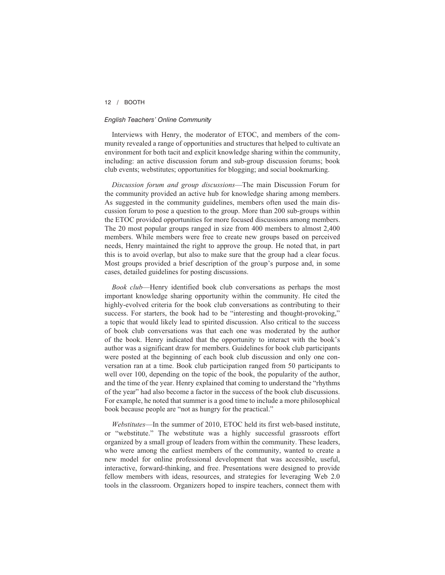## *English Teachers' Online Community*

Interviews with Henry, the moderator of ETOC, and members of the community revealed a range of opportunities and structures that helped to cultivate an environment for both tacit and explicit knowledge sharing within the community, including: an active discussion forum and sub-group discussion forums; book club events; webstitutes; opportunities for blogging; and social bookmarking.

*Discussion forum and group discussions*—The main Discussion Forum for the community provided an active hub for knowledge sharing among members. As suggested in the community guidelines, members often used the main discussion forum to pose a question to the group. More than 200 sub-groups within the ETOC provided opportunities for more focused discussions among members. The 20 most popular groups ranged in size from 400 members to almost 2,400 members. While members were free to create new groups based on perceived needs, Henry maintained the right to approve the group. He noted that, in part this is to avoid overlap, but also to make sure that the group had a clear focus. Most groups provided a brief description of the group's purpose and, in some cases, detailed guidelines for posting discussions.

*Book club*—Henry identified book club conversations as perhaps the most important knowledge sharing opportunity within the community. He cited the highly-evolved criteria for the book club conversations as contributing to their success. For starters, the book had to be "interesting and thought-provoking," a topic that would likely lead to spirited discussion. Also critical to the success of book club conversations was that each one was moderated by the author of the book. Henry indicated that the opportunity to interact with the book's author was a significant draw for members. Guidelines for book club participants were posted at the beginning of each book club discussion and only one conversation ran at a time. Book club participation ranged from 50 participants to well over 100, depending on the topic of the book, the popularity of the author, and the time of the year. Henry explained that coming to understand the "rhythms of the year" had also become a factor in the success of the book club discussions. For example, he noted that summer is a good time to include a more philosophical book because people are "not as hungry for the practical."

*Webstitutes*—In the summer of 2010, ETOC held its first web-based institute, or "webstitute." The webstitute was a highly successful grassroots effort organized by a small group of leaders from within the community. These leaders, who were among the earliest members of the community, wanted to create a new model for online professional development that was accessible, useful, interactive, forward-thinking, and free. Presentations were designed to provide fellow members with ideas, resources, and strategies for leveraging Web 2.0 tools in the classroom. Organizers hoped to inspire teachers, connect them with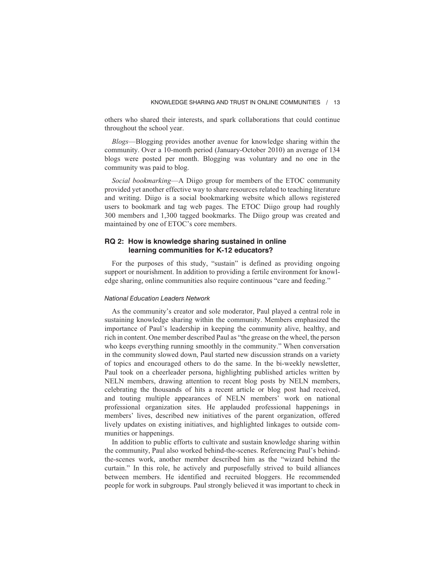others who shared their interests, and spark collaborations that could continue throughout the school year.

*Blogs*—Blogging provides another avenue for knowledge sharing within the community. Over a 10-month period (January-October 2010) an average of 134 blogs were posted per month. Blogging was voluntary and no one in the community was paid to blog.

*Social bookmarking*—A Diigo group for members of the ETOC community provided yet another effective way to share resources related to teaching literature and writing. Diigo is a social bookmarking website which allows registered users to bookmark and tag web pages. The ETOC Diigo group had roughly 300 members and 1,300 tagged bookmarks. The Diigo group was created and maintained by one of ETOC's core members.

## **RQ 2: How is knowledge sharing sustained in online learning communities for K-12 educators?**

For the purposes of this study, "sustain" is defined as providing ongoing support or nourishment. In addition to providing a fertile environment for knowledge sharing, online communities also require continuous "care and feeding."

## *National Education Leaders Network*

As the community's creator and sole moderator, Paul played a central role in sustaining knowledge sharing within the community. Members emphasized the importance of Paul's leadership in keeping the community alive, healthy, and rich in content. One member described Paul as "the grease on the wheel, the person who keeps everything running smoothly in the community." When conversation in the community slowed down, Paul started new discussion strands on a variety of topics and encouraged others to do the same. In the bi-weekly newsletter, Paul took on a cheerleader persona, highlighting published articles written by NELN members, drawing attention to recent blog posts by NELN members, celebrating the thousands of hits a recent article or blog post had received, and touting multiple appearances of NELN members' work on national professional organization sites. He applauded professional happenings in members' lives, described new initiatives of the parent organization, offered lively updates on existing initiatives, and highlighted linkages to outside communities or happenings.

In addition to public efforts to cultivate and sustain knowledge sharing within the community, Paul also worked behind-the-scenes. Referencing Paul's behindthe-scenes work, another member described him as the "wizard behind the curtain." In this role, he actively and purposefully strived to build alliances between members. He identified and recruited bloggers. He recommended people for work in subgroups. Paul strongly believed it was important to check in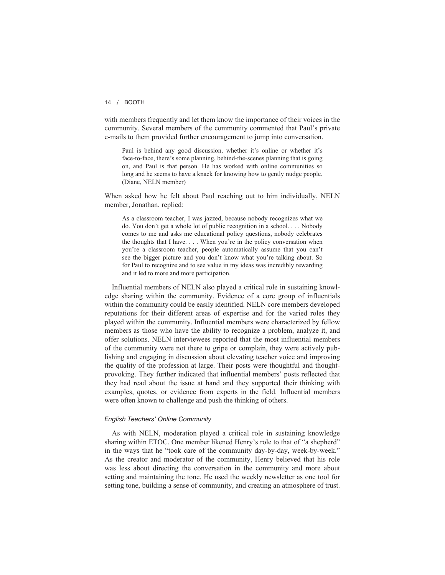with members frequently and let them know the importance of their voices in the community. Several members of the community commented that Paul's private e-mails to them provided further encouragement to jump into conversation.

Paul is behind any good discussion, whether it's online or whether it's face-to-face, there's some planning, behind-the-scenes planning that is going on, and Paul is that person. He has worked with online communities so long and he seems to have a knack for knowing how to gently nudge people. (Diane, NELN member)

When asked how he felt about Paul reaching out to him individually, NELN member, Jonathan, replied:

As a classroom teacher, I was jazzed, because nobody recognizes what we do. You don't get a whole lot of public recognition in a school. . . . Nobody comes to me and asks me educational policy questions, nobody celebrates the thoughts that I have. . . . When you're in the policy conversation when you're a classroom teacher, people automatically assume that you can't see the bigger picture and you don't know what you're talking about. So for Paul to recognize and to see value in my ideas was incredibly rewarding and it led to more and more participation.

Influential members of NELN also played a critical role in sustaining knowledge sharing within the community. Evidence of a core group of influentials within the community could be easily identified. NELN core members developed reputations for their different areas of expertise and for the varied roles they played within the community. Influential members were characterized by fellow members as those who have the ability to recognize a problem, analyze it, and offer solutions. NELN interviewees reported that the most influential members of the community were not there to gripe or complain, they were actively publishing and engaging in discussion about elevating teacher voice and improving the quality of the profession at large. Their posts were thoughtful and thoughtprovoking. They further indicated that influential members' posts reflected that they had read about the issue at hand and they supported their thinking with examples, quotes, or evidence from experts in the field. Influential members were often known to challenge and push the thinking of others.

## *English Teachers' Online Community*

As with NELN, moderation played a critical role in sustaining knowledge sharing within ETOC. One member likened Henry's role to that of "a shepherd" in the ways that he "took care of the community day-by-day, week-by-week." As the creator and moderator of the community, Henry believed that his role was less about directing the conversation in the community and more about setting and maintaining the tone. He used the weekly newsletter as one tool for setting tone, building a sense of community, and creating an atmosphere of trust.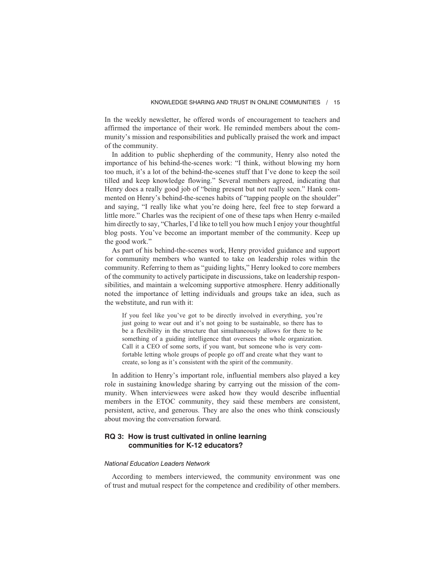In the weekly newsletter, he offered words of encouragement to teachers and affirmed the importance of their work. He reminded members about the community's mission and responsibilities and publically praised the work and impact of the community.

In addition to public shepherding of the community, Henry also noted the importance of his behind-the-scenes work: "I think, without blowing my horn too much, it's a lot of the behind-the-scenes stuff that I've done to keep the soil tilled and keep knowledge flowing." Several members agreed, indicating that Henry does a really good job of "being present but not really seen." Hank commented on Henry's behind-the-scenes habits of "tapping people on the shoulder" and saying, "I really like what you're doing here, feel free to step forward a little more." Charles was the recipient of one of these taps when Henry e-mailed him directly to say, "Charles, I'd like to tell you how much I enjoy your thoughtful blog posts. You've become an important member of the community. Keep up the good work."

As part of his behind-the-scenes work, Henry provided guidance and support for community members who wanted to take on leadership roles within the community. Referring to them as "guiding lights," Henry looked to core members of the community to actively participate in discussions, take on leadership responsibilities, and maintain a welcoming supportive atmosphere. Henry additionally noted the importance of letting individuals and groups take an idea, such as the webstitute, and run with it:

If you feel like you've got to be directly involved in everything, you're just going to wear out and it's not going to be sustainable, so there has to be a flexibility in the structure that simultaneously allows for there to be something of a guiding intelligence that oversees the whole organization. Call it a CEO of some sorts, if you want, but someone who is very comfortable letting whole groups of people go off and create what they want to create, so long as it's consistent with the spirit of the community.

In addition to Henry's important role, influential members also played a key role in sustaining knowledge sharing by carrying out the mission of the community. When interviewees were asked how they would describe influential members in the ETOC community, they said these members are consistent, persistent, active, and generous. They are also the ones who think consciously about moving the conversation forward.

# **RQ 3: How is trust cultivated in online learning communities for K-12 educators?**

# *National Education Leaders Network*

According to members interviewed, the community environment was one of trust and mutual respect for the competence and credibility of other members.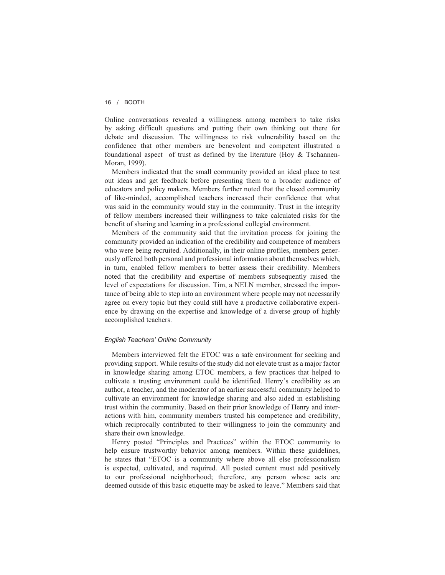Online conversations revealed a willingness among members to take risks by asking difficult questions and putting their own thinking out there for debate and discussion. The willingness to risk vulnerability based on the confidence that other members are benevolent and competent illustrated a foundational aspect of trust as defined by the literature (Hoy & Tschannen-Moran, 1999).

Members indicated that the small community provided an ideal place to test out ideas and get feedback before presenting them to a broader audience of educators and policy makers. Members further noted that the closed community of like-minded, accomplished teachers increased their confidence that what was said in the community would stay in the community. Trust in the integrity of fellow members increased their willingness to take calculated risks for the benefit of sharing and learning in a professional collegial environment.

Members of the community said that the invitation process for joining the community provided an indication of the credibility and competence of members who were being recruited. Additionally, in their online profiles, members generously offered both personal and professional information about themselves which, in turn, enabled fellow members to better assess their credibility. Members noted that the credibility and expertise of members subsequently raised the level of expectations for discussion. Tim, a NELN member, stressed the importance of being able to step into an environment where people may not necessarily agree on every topic but they could still have a productive collaborative experience by drawing on the expertise and knowledge of a diverse group of highly accomplished teachers.

## *English Teachers' Online Community*

Members interviewed felt the ETOC was a safe environment for seeking and providing support. While results of the study did not elevate trust as a major factor in knowledge sharing among ETOC members, a few practices that helped to cultivate a trusting environment could be identified. Henry's credibility as an author, a teacher, and the moderator of an earlier successful community helped to cultivate an environment for knowledge sharing and also aided in establishing trust within the community. Based on their prior knowledge of Henry and interactions with him, community members trusted his competence and credibility, which reciprocally contributed to their willingness to join the community and share their own knowledge.

Henry posted "Principles and Practices" within the ETOC community to help ensure trustworthy behavior among members. Within these guidelines, he states that "ETOC is a community where above all else professionalism is expected, cultivated, and required. All posted content must add positively to our professional neighborhood; therefore, any person whose acts are deemed outside of this basic etiquette may be asked to leave." Members said that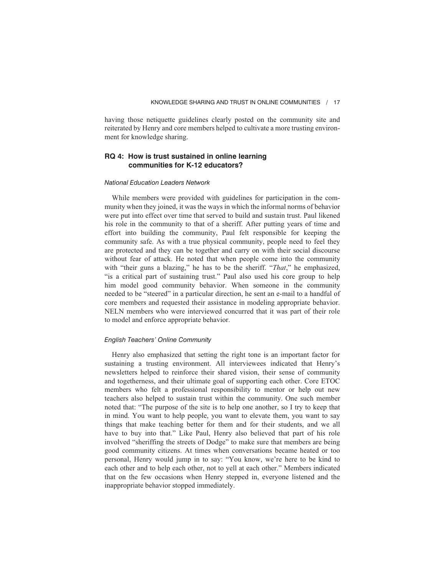having those netiquette guidelines clearly posted on the community site and reiterated by Henry and core members helped to cultivate a more trusting environment for knowledge sharing.

# **RQ 4: How is trust sustained in online learning communities for K-12 educators?**

#### *National Education Leaders Network*

While members were provided with guidelines for participation in the community when they joined, it was the ways in which the informal norms of behavior were put into effect over time that served to build and sustain trust. Paul likened his role in the community to that of a sheriff. After putting years of time and effort into building the community, Paul felt responsible for keeping the community safe. As with a true physical community, people need to feel they are protected and they can be together and carry on with their social discourse without fear of attack. He noted that when people come into the community with "their guns a blazing," he has to be the sheriff. "*That*," he emphasized, "is a critical part of sustaining trust." Paul also used his core group to help him model good community behavior. When someone in the community needed to be "steered" in a particular direction, he sent an e-mail to a handful of core members and requested their assistance in modeling appropriate behavior. NELN members who were interviewed concurred that it was part of their role to model and enforce appropriate behavior.

## *English Teachers' Online Community*

Henry also emphasized that setting the right tone is an important factor for sustaining a trusting environment. All interviewees indicated that Henry's newsletters helped to reinforce their shared vision, their sense of community and togetherness, and their ultimate goal of supporting each other. Core ETOC members who felt a professional responsibility to mentor or help out new teachers also helped to sustain trust within the community. One such member noted that: "The purpose of the site is to help one another, so I try to keep that in mind. You want to help people, you want to elevate them, you want to say things that make teaching better for them and for their students, and we all have to buy into that." Like Paul, Henry also believed that part of his role involved "sheriffing the streets of Dodge" to make sure that members are being good community citizens. At times when conversations became heated or too personal, Henry would jump in to say: "You know, we're here to be kind to each other and to help each other, not to yell at each other." Members indicated that on the few occasions when Henry stepped in, everyone listened and the inappropriate behavior stopped immediately.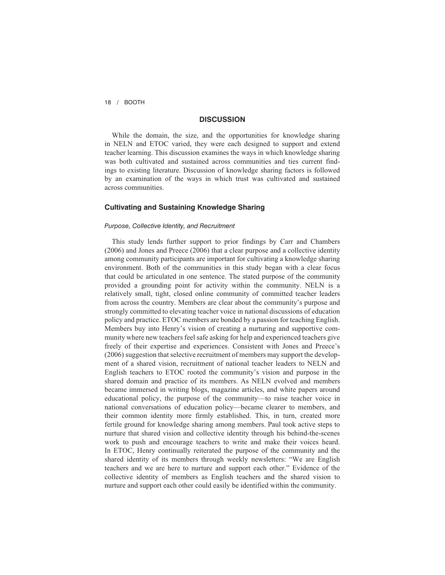## **DISCUSSION**

While the domain, the size, and the opportunities for knowledge sharing in NELN and ETOC varied, they were each designed to support and extend teacher learning. This discussion examines the ways in which knowledge sharing was both cultivated and sustained across communities and ties current findings to existing literature. Discussion of knowledge sharing factors is followed by an examination of the ways in which trust was cultivated and sustained across communities.

# **Cultivating and Sustaining Knowledge Sharing**

#### *Purpose, Collective Identity, and Recruitment*

This study lends further support to prior findings by Carr and Chambers (2006) and Jones and Preece (2006) that a clear purpose and a collective identity among community participants are important for cultivating a knowledge sharing environment. Both of the communities in this study began with a clear focus that could be articulated in one sentence. The stated purpose of the community provided a grounding point for activity within the community. NELN is a relatively small, tight, closed online community of committed teacher leaders from across the country. Members are clear about the community's purpose and strongly committed to elevating teacher voice in national discussions of education policy and practice. ETOC members are bonded by a passion for teaching English. Members buy into Henry's vision of creating a nurturing and supportive community where new teachers feel safe asking for help and experienced teachers give freely of their expertise and experiences. Consistent with Jones and Preece's (2006) suggestion that selective recruitment of members may support the development of a shared vision, recruitment of national teacher leaders to NELN and English teachers to ETOC rooted the community's vision and purpose in the shared domain and practice of its members. As NELN evolved and members became immersed in writing blogs, magazine articles, and white papers around educational policy, the purpose of the community—to raise teacher voice in national conversations of education policy—became clearer to members, and their common identity more firmly established. This, in turn, created more fertile ground for knowledge sharing among members. Paul took active steps to nurture that shared vision and collective identity through his behind-the-scenes work to push and encourage teachers to write and make their voices heard. In ETOC, Henry continually reiterated the purpose of the community and the shared identity of its members through weekly newsletters: "We are English teachers and we are here to nurture and support each other." Evidence of the collective identity of members as English teachers and the shared vision to nurture and support each other could easily be identified within the community.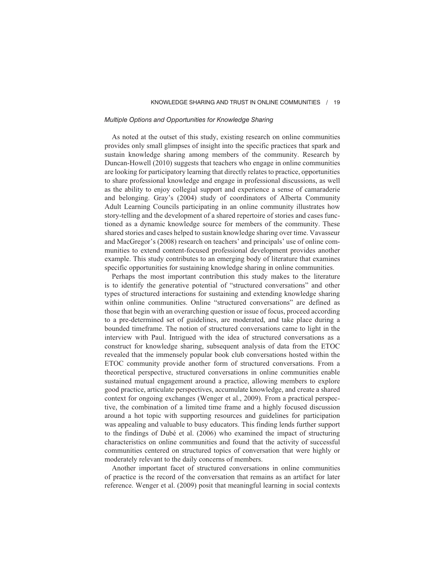## *Multiple Options and Opportunities for Knowledge Sharing*

As noted at the outset of this study, existing research on online communities provides only small glimpses of insight into the specific practices that spark and sustain knowledge sharing among members of the community. Research by Duncan-Howell (2010) suggests that teachers who engage in online communities are looking for participatory learning that directly relates to practice, opportunities to share professional knowledge and engage in professional discussions, as well as the ability to enjoy collegial support and experience a sense of camaraderie and belonging. Gray's (2004) study of coordinators of Alberta Community Adult Learning Councils participating in an online community illustrates how story-telling and the development of a shared repertoire of stories and cases functioned as a dynamic knowledge source for members of the community. These shared stories and cases helped to sustain knowledge sharing over time. Vavasseur and MacGregor's (2008) research on teachers' and principals' use of online communities to extend content-focused professional development provides another example. This study contributes to an emerging body of literature that examines specific opportunities for sustaining knowledge sharing in online communities.

Perhaps the most important contribution this study makes to the literature is to identify the generative potential of "structured conversations" and other types of structured interactions for sustaining and extending knowledge sharing within online communities. Online "structured conversations" are defined as those that begin with an overarching question or issue of focus, proceed according to a pre-determined set of guidelines, are moderated, and take place during a bounded timeframe. The notion of structured conversations came to light in the interview with Paul. Intrigued with the idea of structured conversations as a construct for knowledge sharing, subsequent analysis of data from the ETOC revealed that the immensely popular book club conversations hosted within the ETOC community provide another form of structured conversations. From a theoretical perspective, structured conversations in online communities enable sustained mutual engagement around a practice, allowing members to explore good practice, articulate perspectives, accumulate knowledge, and create a shared context for ongoing exchanges (Wenger et al., 2009). From a practical perspective, the combination of a limited time frame and a highly focused discussion around a hot topic with supporting resources and guidelines for participation was appealing and valuable to busy educators. This finding lends further support to the findings of Dubé et al. (2006) who examined the impact of structuring characteristics on online communities and found that the activity of successful communities centered on structured topics of conversation that were highly or moderately relevant to the daily concerns of members.

Another important facet of structured conversations in online communities of practice is the record of the conversation that remains as an artifact for later reference. Wenger et al. (2009) posit that meaningful learning in social contexts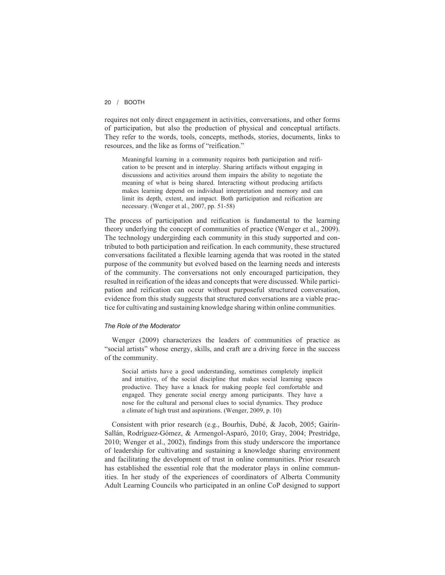requires not only direct engagement in activities, conversations, and other forms of participation, but also the production of physical and conceptual artifacts. They refer to the words, tools, concepts, methods, stories, documents, links to resources, and the like as forms of "reification."

Meaningful learning in a community requires both participation and reification to be present and in interplay. Sharing artifacts without engaging in discussions and activities around them impairs the ability to negotiate the meaning of what is being shared. Interacting without producing artifacts makes learning depend on individual interpretation and memory and can limit its depth, extent, and impact. Both participation and reification are necessary. (Wenger et al., 2007, pp. 51-58)

The process of participation and reification is fundamental to the learning theory underlying the concept of communities of practice (Wenger et al., 2009). The technology undergirding each community in this study supported and contributed to both participation and reification. In each community, these structured conversations facilitated a flexible learning agenda that was rooted in the stated purpose of the community but evolved based on the learning needs and interests of the community. The conversations not only encouraged participation, they resulted in reification of the ideas and concepts that were discussed. While participation and reification can occur without purposeful structured conversation, evidence from this study suggests that structured conversations are a viable practice for cultivating and sustaining knowledge sharing within online communities.

## *The Role of the Moderator*

Wenger (2009) characterizes the leaders of communities of practice as "social artists" whose energy, skills, and craft are a driving force in the success of the community.

Social artists have a good understanding, sometimes completely implicit and intuitive, of the social discipline that makes social learning spaces productive. They have a knack for making people feel comfortable and engaged. They generate social energy among participants. They have a nose for the cultural and personal clues to social dynamics. They produce a climate of high trust and aspirations. (Wenger, 2009, p. 10)

Consistent with prior research (e.g., Bourhis, Dubé, & Jacob, 2005; Gairín-Sallán, Rodríguez-Gómez, & Armengol-Asparó, 2010; Gray, 2004; Prestridge, 2010; Wenger et al., 2002), findings from this study underscore the importance of leadership for cultivating and sustaining a knowledge sharing environment and facilitating the development of trust in online communities. Prior research has established the essential role that the moderator plays in online communities. In her study of the experiences of coordinators of Alberta Community Adult Learning Councils who participated in an online CoP designed to support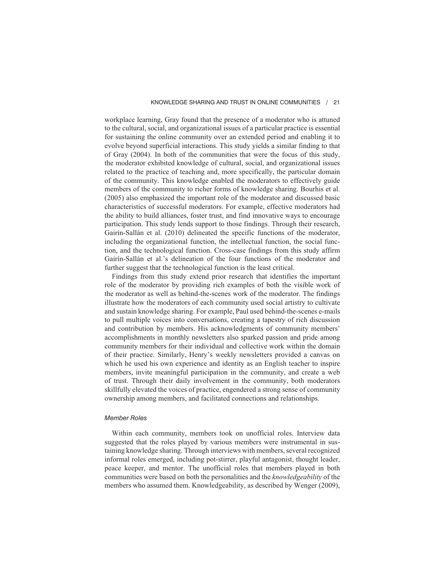workplace learning, Gray found that the presence of a moderator who is attuned to the cultural, social, and organizational issues of a particular practice is essential for sustaining the online community over an extended period and enabling it to evolve beyond superficial interactions. This study yields a similar finding to that of Gray (2004). In both of the communities that were the focus of this study, the moderator exhibited knowledge of cultural, social, and organizational issues related to the practice of teaching and, more specifically, the particular domain of the community. This knowledge enabled the moderators to effectively guide members of the community to richer forms of knowledge sharing. Bourhis et al. (2005) also emphasized the important role of the moderator and discussed basic characteristics of successful moderators. For example, effective moderators had the ability to build alliances, foster trust, and find innovative ways to encourage participation. This study lends support to those findings. Through their research, Gairín-Sallán et al. (2010) delineated the specific functions of the moderator, including the organizational function, the intellectual function, the social function, and the technological function. Cross-case findings from this study affirm Gairín-Sallán et al.'s delineation of the four functions of the moderator and further suggest that the technological function is the least critical.

Findings from this study extend prior research that identifies the important role of the moderator by providing rich examples of both the visible work of the moderator as well as behind-the-scenes work of the moderator. The findings illustrate how the moderators of each community used social artistry to cultivate and sustain knowledge sharing. For example, Paul used behind-the-scenes e-mails to pull multiple voices into conversations, creating a tapestry of rich discussion and contribution by members. His acknowledgments of community members' accomplishments in monthly newsletters also sparked passion and pride among community members for their individual and collective work within the domain of their practice. Similarly, Henry's weekly newsletters provided a canvas on which he used his own experience and identity as an English teacher to inspire members, invite meaningful participation in the community, and create a web of trust. Through their daily involvement in the community, both moderators skillfully elevated the voices of practice, engendered a strong sense of community ownership among members, and facilitated connections and relationships.

## *Member Roles*

Within each community, members took on unofficial roles. Interview data suggested that the roles played by various members were instrumental in sustaining knowledge sharing. Through interviews with members, several recognized informal roles emerged, including pot-stirrer, playful antagonist, thought leader, peace keeper, and mentor. The unofficial roles that members played in both communities were based on both the personalities and the *knowledgeability* of the members who assumed them. Knowledgeability, as described by Wenger (2009),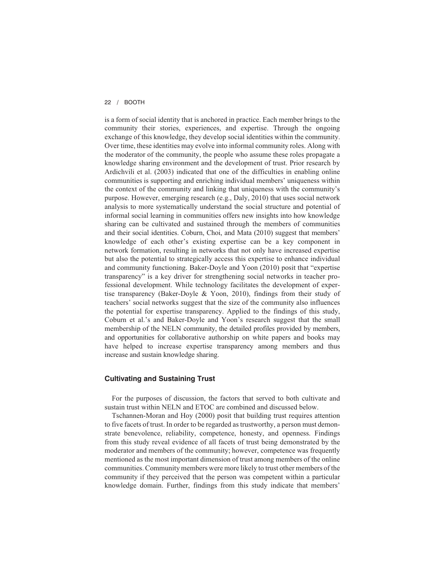is a form of social identity that is anchored in practice. Each member brings to the community their stories, experiences, and expertise. Through the ongoing exchange of this knowledge, they develop social identities within the community. Over time, these identities may evolve into informal community roles. Along with the moderator of the community, the people who assume these roles propagate a knowledge sharing environment and the development of trust. Prior research by Ardichvili et al. (2003) indicated that one of the difficulties in enabling online communities is supporting and enriching individual members' uniqueness within the context of the community and linking that uniqueness with the community's purpose. However, emerging research (e.g., Daly, 2010) that uses social network analysis to more systematically understand the social structure and potential of informal social learning in communities offers new insights into how knowledge sharing can be cultivated and sustained through the members of communities and their social identities. Coburn, Choi, and Mata (2010) suggest that members' knowledge of each other's existing expertise can be a key component in network formation, resulting in networks that not only have increased expertise but also the potential to strategically access this expertise to enhance individual and community functioning. Baker-Doyle and Yoon (2010) posit that "expertise transparency" is a key driver for strengthening social networks in teacher professional development. While technology facilitates the development of expertise transparency (Baker-Doyle & Yoon, 2010), findings from their study of teachers' social networks suggest that the size of the community also influences the potential for expertise transparency. Applied to the findings of this study, Coburn et al.'s and Baker-Doyle and Yoon's research suggest that the small membership of the NELN community, the detailed profiles provided by members, and opportunities for collaborative authorship on white papers and books may have helped to increase expertise transparency among members and thus increase and sustain knowledge sharing.

## **Cultivating and Sustaining Trust**

For the purposes of discussion, the factors that served to both cultivate and sustain trust within NELN and ETOC are combined and discussed below.

Tschannen-Moran and Hoy (2000) posit that building trust requires attention to five facets of trust. In order to be regarded as trustworthy, a person must demonstrate benevolence, reliability, competence, honesty, and openness. Findings from this study reveal evidence of all facets of trust being demonstrated by the moderator and members of the community; however, competence was frequently mentioned as the most important dimension of trust among members of the online communities. Community members were more likely to trust other members of the community if they perceived that the person was competent within a particular knowledge domain. Further, findings from this study indicate that members'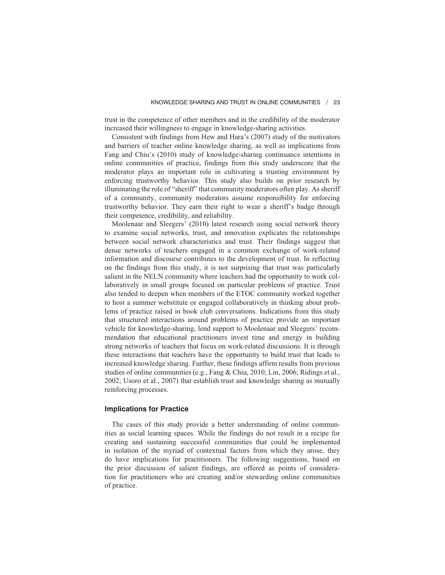trust in the competence of other members and in the credibility of the moderator increased their willingness to engage in knowledge-sharing activities.

Consistent with findings from Hew and Hara's (2007) study of the motivators and barriers of teacher online knowledge sharing, as well as implications from Fang and Chiu's (2010) study of knowledge-sharing continuance intentions in online communities of practice, findings from this study underscore that the moderator plays an important role in cultivating a trusting environment by enforcing trustworthy behavior. This study also builds on prior research by illuminating the role of "sheriff" that community moderators often play. As sheriff of a community, community moderators assume responsibility for enforcing trustworthy behavior. They earn their right to wear a sheriff's badge through their competence, credibility, and reliability.

Moolenaar and Sleegers' (2010) latest research using social network theory to examine social networks, trust, and innovation explicates the relationships between social network characteristics and trust. Their findings suggest that dense networks of teachers engaged in a common exchange of work-related information and discourse contributes to the development of trust. In reflecting on the findings from this study, it is not surprising that trust was particularly salient in the NELN community where teachers had the opportunity to work collaboratively in small groups focused on particular problems of practice. Trust also tended to deepen when members of the ETOC community worked together to host a summer webstitute or engaged collaboratively in thinking about problems of practice raised in book club conversations. Indications from this study that structured interactions around problems of practice provide an important vehicle for knowledge-sharing, lend support to Moolenaar and Sleegers' recommendation that educational practitioners invest time and energy in building strong networks of teachers that focus on work-related discussions. It is through these interactions that teachers have the opportunity to build trust that leads to increased knowledge sharing. Further, these findings affirm results from previous studies of online communities (e.g., Fang & Chiu, 2010; Lin, 2006; Ridings et al., 2002; Usoro et al., 2007) that establish trust and knowledge sharing as mutually reinforcing processes.

### **Implications for Practice**

The cases of this study provide a better understanding of online communities as social learning spaces. While the findings do not result in a recipe for creating and sustaining successful communities that could be implemented in isolation of the myriad of contextual factors from which they arose, they do have implications for practitioners. The following suggestions, based on the prior discussion of salient findings, are offered as points of consideration for practitioners who are creating and/or stewarding online communities of practice.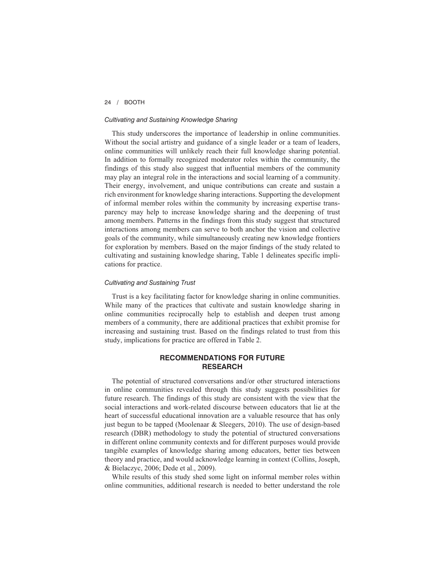## *Cultivating and Sustaining Knowledge Sharing*

This study underscores the importance of leadership in online communities. Without the social artistry and guidance of a single leader or a team of leaders, online communities will unlikely reach their full knowledge sharing potential. In addition to formally recognized moderator roles within the community, the findings of this study also suggest that influential members of the community may play an integral role in the interactions and social learning of a community. Their energy, involvement, and unique contributions can create and sustain a rich environment for knowledge sharing interactions. Supporting the development of informal member roles within the community by increasing expertise transparency may help to increase knowledge sharing and the deepening of trust among members. Patterns in the findings from this study suggest that structured interactions among members can serve to both anchor the vision and collective goals of the community, while simultaneously creating new knowledge frontiers for exploration by members. Based on the major findings of the study related to cultivating and sustaining knowledge sharing, Table 1 delineates specific implications for practice.

## *Cultivating and Sustaining Trust*

Trust is a key facilitating factor for knowledge sharing in online communities. While many of the practices that cultivate and sustain knowledge sharing in online communities reciprocally help to establish and deepen trust among members of a community, there are additional practices that exhibit promise for increasing and sustaining trust. Based on the findings related to trust from this study, implications for practice are offered in Table 2.

## **RECOMMENDATIONS FOR FUTURE RESEARCH**

The potential of structured conversations and/or other structured interactions in online communities revealed through this study suggests possibilities for future research. The findings of this study are consistent with the view that the social interactions and work-related discourse between educators that lie at the heart of successful educational innovation are a valuable resource that has only just begun to be tapped (Moolenaar & Sleegers, 2010). The use of design-based research (DBR) methodology to study the potential of structured conversations in different online community contexts and for different purposes would provide tangible examples of knowledge sharing among educators, better ties between theory and practice, and would acknowledge learning in context (Collins, Joseph, & Bielaczyc, 2006; Dede et al., 2009).

While results of this study shed some light on informal member roles within online communities, additional research is needed to better understand the role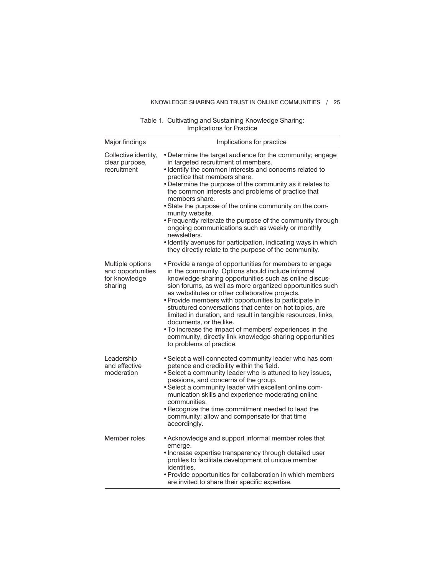| Table 1. Cultivating and Sustaining Knowledge Sharing: |
|--------------------------------------------------------|
| Implications for Practice                              |

| Major findings                                                    | Implications for practice                                                                                                                                                                                                                                                                                                                                                                                                                                                                                                                                                                                                                                                    |
|-------------------------------------------------------------------|------------------------------------------------------------------------------------------------------------------------------------------------------------------------------------------------------------------------------------------------------------------------------------------------------------------------------------------------------------------------------------------------------------------------------------------------------------------------------------------------------------------------------------------------------------------------------------------------------------------------------------------------------------------------------|
| Collective identity,<br>clear purpose,<br>recruitment             | • Determine the target audience for the community; engage<br>in targeted recruitment of members.<br>· Identify the common interests and concerns related to<br>practice that members share.<br>• Determine the purpose of the community as it relates to<br>the common interests and problems of practice that<br>members share.<br>• State the purpose of the online community on the com-<br>munity website.<br>• Frequently reiterate the purpose of the community through<br>ongoing communications such as weekly or monthly<br>newsletters.<br>• Identify avenues for participation, indicating ways in which<br>they directly relate to the purpose of the community. |
| Multiple options<br>and opportunities<br>for knowledge<br>sharing | • Provide a range of opportunities for members to engage<br>in the community. Options should include informal<br>knowledge-sharing opportunities such as online discus-<br>sion forums, as well as more organized opportunities such<br>as webstitutes or other collaborative projects.<br>• Provide members with opportunities to participate in<br>structured conversations that center on hot topics, are<br>limited in duration, and result in tangible resources, links,<br>documents, or the like.<br>• To increase the impact of members' experiences in the<br>community, directly link knowledge-sharing opportunities<br>to problems of practice.                  |
| Leadership<br>and effective<br>moderation                         | • Select a well-connected community leader who has com-<br>petence and credibility within the field.<br>• Select a community leader who is attuned to key issues,<br>passions, and concerns of the group.<br>• Select a community leader with excellent online com-<br>munication skills and experience moderating online<br>communities.<br>• Recognize the time commitment needed to lead the<br>community; allow and compensate for that time<br>accordingly.                                                                                                                                                                                                             |
| Member roles                                                      | • Acknowledge and support informal member roles that<br>emerge.<br>• Increase expertise transparency through detailed user<br>profiles to facilitate development of unique member<br>identities.<br>• Provide opportunities for collaboration in which members<br>are invited to share their specific expertise.                                                                                                                                                                                                                                                                                                                                                             |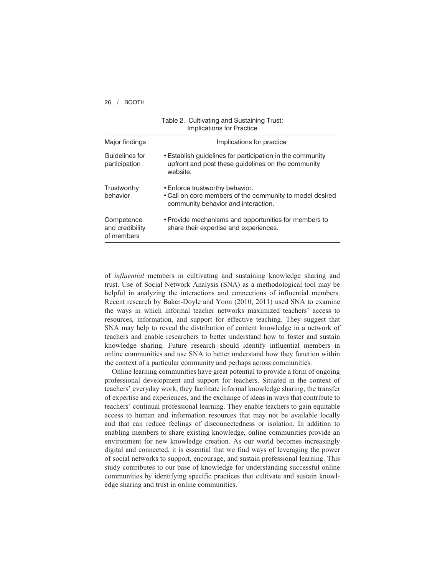| $14000 - 1$ cannot all $19000$ can be containing theory.<br>Implications for Practice |                                                                                                                                    |  |
|---------------------------------------------------------------------------------------|------------------------------------------------------------------------------------------------------------------------------------|--|
| Major findings                                                                        | Implications for practice                                                                                                          |  |
| Guidelines for<br>participation                                                       | • Establish guidelines for participation in the community<br>upfront and post these guidelines on the community<br>website.        |  |
| Trustworthy<br>behavior                                                               | • Enforce trustworthy behavior.<br>• Call on core members of the community to model desired<br>community behavior and interaction. |  |
| Competence<br>and credibility<br>of members                                           | • Provide mechanisms and opportunities for members to<br>share their expertise and experiences.                                    |  |

Table 2. Cultivating and Sustaining Trust:

of *influential* members in cultivating and sustaining knowledge sharing and trust. Use of Social Network Analysis (SNA) as a methodological tool may be helpful in analyzing the interactions and connections of influential members. Recent research by Baker-Doyle and Yoon (2010, 2011) used SNA to examine the ways in which informal teacher networks maximized teachers' access to resources, information, and support for effective teaching. They suggest that SNA may help to reveal the distribution of content knowledge in a network of teachers and enable researchers to better understand how to foster and sustain knowledge sharing. Future research should identify influential members in online communities and use SNA to better understand how they function within the context of a particular community and perhaps across communities.

Online learning communities have great potential to provide a form of ongoing professional development and support for teachers. Situated in the context of teachers' everyday work, they facilitate informal knowledge sharing, the transfer of expertise and experiences, and the exchange of ideas in ways that contribute to teachers' continual professional learning. They enable teachers to gain equitable access to human and information resources that may not be available locally and that can reduce feelings of disconnectedness or isolation. In addition to enabling members to share existing knowledge, online communities provide an environment for new knowledge creation. As our world becomes increasingly digital and connected, it is essential that we find ways of leveraging the power of social networks to support, encourage, and sustain professional learning. This study contributes to our base of knowledge for understanding successful online communities by identifying specific practices that cultivate and sustain knowledge sharing and trust in online communities.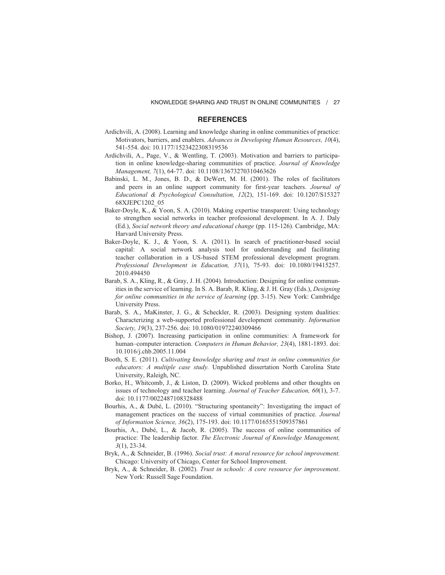## **REFERENCES**

- Ardichvili, A. (2008). Learning and knowledge sharing in online communities of practice: Motivators, barriers, and enablers. *Advances in Developing Human Resources, 10*(4), 541-554. doi: 10.1177/1523422308319536
- Ardichvili, A., Page, V., & Wentling, T. (2003). Motivation and barriers to participation in online knowledge-sharing communities of practice. *Journal of Knowledge Management, 7*(1), 64-77. doi: 10.1108/13673270310463626
- Babinski, L. M., Jones, B. D., & DeWert, M. H. (2001). The roles of facilitators and peers in an online support community for first-year teachers. *Journal of Educational & Psychological Consultation, 12*(2), 151-169. doi: 10.1207/S15327 68XJEPC1202\_05
- Baker-Doyle, K., & Yoon, S. A. (2010). Making expertise transparent: Using technology to strengthen social networks in teacher professional development. In A. J. Daly (Ed.), *Social network theory and educational change* (pp. 115-126). Cambridge, MA: Harvard University Press.
- Baker-Doyle, K. J., & Yoon, S. A. (2011). In search of practitioner-based social capital: A social network analysis tool for understanding and facilitating teacher collaboration in a US-based STEM professional development program. *Professional Development in Education, 37*(1), 75-93. doi: 10.1080/19415257. 2010.494450
- Barab, S. A., Kling, R., & Gray, J. H. (2004). Introduction: Designing for online communities in the service of learning. In S. A. Barab, R. Kling, & J. H. Gray (Eds.), *Designing for online communities in the service of learning* (pp. 3-15). New York: Cambridge University Press.
- Barab, S. A., MaKinster, J. G., & Scheckler, R. (2003). Designing system dualities: Characterizing a web-supported professional development community. *Information Society, 19*(3), 237-256. doi: 10.1080/01972240309466
- Bishop, J. (2007). Increasing participation in online communities: A framework for human–computer interaction. *Computers in Human Behavior, 23*(4), 1881-1893. doi: 10.1016/j.chb.2005.11.004
- Booth, S. E. (2011). *Cultivating knowledge sharing and trust in online communities for educators: A multiple case study.* Unpublished dissertation North Carolina State University, Raleigh, NC.
- Borko, H., Whitcomb, J., & Liston, D. (2009). Wicked problems and other thoughts on issues of technology and teacher learning. *Journal of Teacher Education, 60*(1), 3-7. doi: 10.1177/0022487108328488
- Bourhis, A., & Dubé, L. (2010). "Structuring spontaneity": Investigating the impact of management practices on the success of virtual communities of practice. *Journal of Information Science, 36*(2), 175-193. doi: 10.1177/0165551509357861
- Bourhis, A., Dubé, L., & Jacob, R. (2005). The success of online communities of practice: The leadership factor. *The Electronic Journal of Knowledge Management, 3*(1), 23-34.
- Bryk, A., & Schneider, B. (1996). *Social trust: A moral resource for school improvement.* Chicago: University of Chicago, Center for School Improvement.
- Bryk, A., & Schneider, B. (2002). *Trust in schools: A core resource for improvement*. New York: Russell Sage Foundation.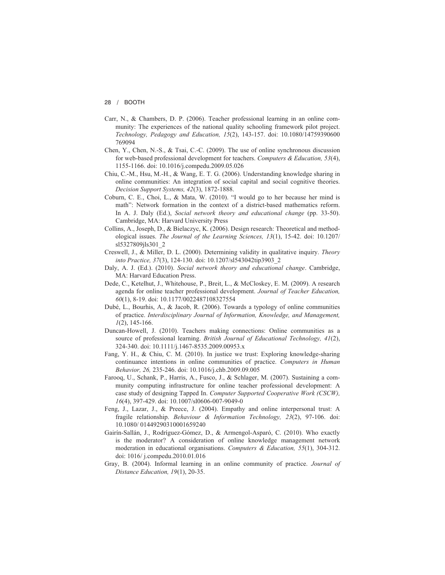- Carr, N., & Chambers, D. P. (2006). Teacher professional learning in an online community: The experiences of the national quality schooling framework pilot project. *Technology, Pedagogy and Education, 15*(2), 143-157. doi: 10.1080/14759390600 769094
- Chen, Y., Chen, N.-S., & Tsai, C.-C. (2009). The use of online synchronous discussion for web-based professional development for teachers. *Computers & Education, 53*(4), 1155-1166. doi: 10.1016/j.compedu.2009.05.026
- Chiu, C.-M., Hsu, M.-H., & Wang, E. T. G. (2006). Understanding knowledge sharing in online communities: An integration of social capital and social cognitive theories. *Decision Support Systems, 42*(3), 1872-1888.
- Coburn, C. E., Choi, L., & Mata, W. (2010). "I would go to her because her mind is math": Network formation in the context of a district-based mathematics reform. In A. J. Daly (Ed.), *Social network theory and educational change* (pp. 33-50). Cambridge, MA: Harvard University Press
- Collins, A., Joseph, D., & Bielaczyc, K. (2006). Design research: Theoretical and methodological issues. *The Journal of the Learning Sciences, 13*(1), 15-42. doi: 10.1207/ sl5327809jls301\_2
- Creswell, J., & Miller, D. L. (2000). Determining validity in qualitative inquiry. *Theory into Practice, 37*(3), 124-130. doi: 10.1207/sl543042tip3903\_2
- Daly, A. J. (Ed.). (2010). *Social network theory and educational change*. Cambridge, MA: Harvard Education Press.
- Dede, C., Ketelhut, J., Whitehouse, P., Breit, L., & McCloskey, E. M. (2009). A research agenda for online teacher professional development. *Journal of Teacher Education, 60*(1), 8-19. doi: 10.1177/0022487108327554
- Dubé, L., Bourhis, A., & Jacob, R. (2006). Towards a typology of online communities of practice. *Interdisciplinary Journal of Information, Knowledge, and Management, 1*(2), 145-166.
- Duncan-Howell, J. (2010). Teachers making connections: Online communities as a source of professional learning. *British Journal of Educational Technology, 41*(2), 324-340. doi: 10.1111/j.1467-8535.2009.00953.x
- Fang, Y. H., & Chiu, C. M. (2010). In justice we trust: Exploring knowledge-sharing continuance intentions in online communities of practice. *Computers in Human Behavior, 26,* 235-246. doi: 10.1016/j.chb.2009.09.005
- Farooq, U., Schank, P., Harris, A., Fusco, J., & Schlager, M. (2007). Sustaining a community computing infrastructure for online teacher professional development: A case study of designing Tapped In. *Computer Supported Cooperative Work (CSCW), 16*(4), 397-429. doi: 10.1007/sl0606-007-9049-0
- Feng, J., Lazar, J., & Preece, J. (2004). Empathy and online interpersonal trust: A fragile relationship. *Behaviour & Information Technology, 23*(2), 97-106. doi: 10.1080/ 01449290310001659240
- Gairín-Sallán, J., Rodríguez-Gómez, D., & Armengol-Asparó, C. (2010). Who exactly is the moderator? A consideration of online knowledge management network moderation in educational organisations. *Computers & Education, 55*(1), 304-312. doi: 1016/ j.compedu.2010.01.016
- Gray, B. (2004). Informal learning in an online community of practice. *Journal of Distance Education, 19*(1), 20-35.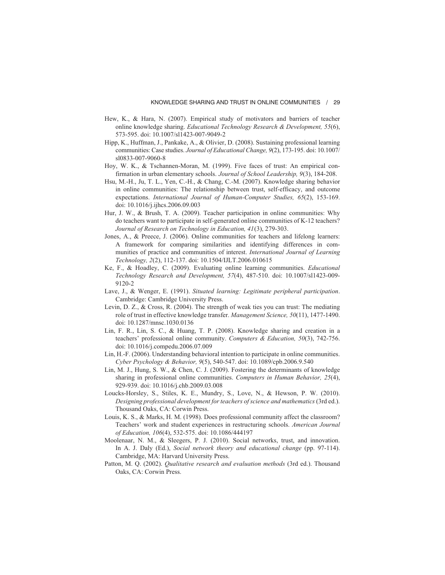- Hew, K., & Hara, N. (2007). Empirical study of motivators and barriers of teacher online knowledge sharing. *Educational Technology Research & Development, 55*(6), 573-595. doi: 10.1007/sl1423-007-9049-2
- Hipp, K., Huffman, J., Pankake, A., & Olivier, D. (2008). Sustaining professional learning communities: Case studies. *Journal of Educational Change, 9*(2), 173-195. doi: 10.1007/ sl0833-007-9060-8
- Hoy, W. K., & Tschannen-Moran, M. (1999). Five faces of trust: An empirical confirmation in urban elementary schools. *Journal of School Leadership, 9*(3), 184-208.
- Hsu, M.-H., Ju, T. L., Yen, C.-H., & Chang, C.-M. (2007). Knowledge sharing behavior in online communities: The relationship between trust, self-efficacy, and outcome expectations. *International Journal of Human-Computer Studies, 65*(2), 153-169. doi: 10.1016/j.ijhcs.2006.09.003
- Hur, J. W., & Brush, T. A. (2009). Teacher participation in online communities: Why do teachers want to participate in self-generated online communities of K-12 teachers? *Journal of Research on Technology in Education, 41*(3), 279-303.
- Jones, A., & Preece, J. (2006). Online communities for teachers and lifelong learners: A framework for comparing similarities and identifying differences in communities of practice and communities of interest. *International Journal of Learning Technology, 2*(2), 112-137. doi: 10.1504/IJLT.2006.010615
- Ke, F., & Hoadley, C. (2009). Evaluating online learning communities. *Educational Technology Research and Development, 57*(4), 487-510. doi: 10.1007/sl1423-009- 9120-2
- Lave, J., & Wenger, E. (1991). *Situated learning: Legitimate peripheral participation*. Cambridge: Cambridge University Press.
- Levin, D. Z., & Cross, R. (2004). The strength of weak ties you can trust: The mediating role of trust in effective knowledge transfer. *Management Science, 50*(11), 1477-1490. doi: 10.1287/mnsc.1030.0136
- Lin, F. R., Lin, S. C., & Huang, T. P. (2008). Knowledge sharing and creation in a teachers' professional online community. *Computers & Education, 50*(3), 742-756. doi: 10.1016/j.compedu.2006.07.009
- Lin, H.-F. (2006). Understanding behavioral intention to participate in online communities. *Cyber Psychology & Behavior, 9*(5), 540-547. doi: 10.1089/cpb.2006.9.540
- Lin, M. J., Hung, S. W., & Chen, C. J. (2009). Fostering the determinants of knowledge sharing in professional online communities. *Computers in Human Behavior, 25*(4), 929-939. doi: 10.1016/j.chb.2009.03.008
- Loucks-Horsley, S., Stiles, K. E., Mundry, S., Love, N., & Hewson, P. W. (2010). *Designing professional development for teachers of science and mathematics*(3rd ed.). Thousand Oaks, CA: Corwin Press.
- Louis, K. S., & Marks, H. M. (1998). Does professional community affect the classroom? Teachers' work and student experiences in restructuring schools. *American Journal of Education, 106*(4), 532-575. doi: 10.1086/444197
- Moolenaar, N. M., & Sleegers, P. J. (2010). Social networks, trust, and innovation. In A. J. Daly (Ed.), *Social network theory and educational change* (pp. 97-114). Cambridge, MA: Harvard University Press.
- Patton, M. Q. (2002). *Qualitative research and evaluation methods* (3rd ed.). Thousand Oaks, CA: Corwin Press.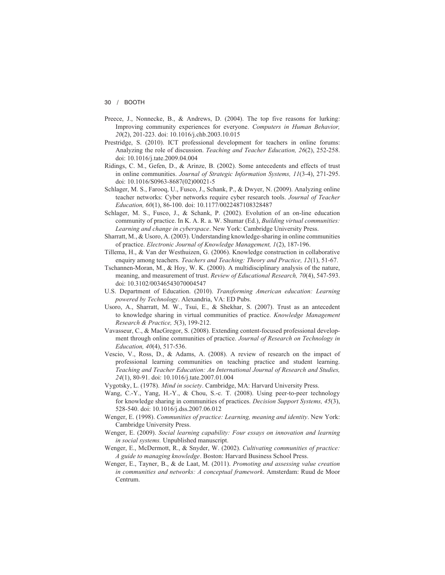- Preece, J., Nonnecke, B., & Andrews, D. (2004). The top five reasons for lurking: Improving community experiences for everyone. *Computers in Human Behavior, 20*(2), 201-223. doi: 10.1016/j.chb.2003.10.015
- Prestridge, S. (2010). ICT professional development for teachers in online forums: Analyzing the role of discussion. *Teaching and Teacher Education, 26*(2), 252-258. doi: 10.1016/j.tate.2009.04.004
- Ridings, C. M., Gefen, D., & Arinze, B. (2002). Some antecedents and effects of trust in online communities. *Journal of Strategic Information Systems, 11*(3-4), 271-295. doi: 10.1016/S0963-8687(02)00021-5
- Schlager, M. S., Farooq, U., Fusco, J., Schank, P., & Dwyer, N. (2009). Analyzing online teacher networks: Cyber networks require cyber research tools. *Journal of Teacher Education, 60*(1), 86-100. doi: 10.1177/0022487108328487
- Schlager, M. S., Fusco, J., & Schank, P. (2002). Evolution of an on-line education community of practice. In K. A. R. a. W. Shumar (Ed.), *Building virtual communities: Learning and change in cyberspace*. New York: Cambridge University Press.
- Sharratt, M., & Usoro, A. (2003). Understanding knowledge-sharing in online communities of practice. *Electronic Journal of Knowledge Management, 1*(2), 187-196.
- Tillema, H., & Van der Westhuizen, G. (2006). Knowledge construction in collaborative enquiry among teachers. *Teachers and Teaching: Theory and Practice, 12*(1), 51-67.
- Tschannen-Moran, M., & Hoy, W. K. (2000). A multidisciplinary analysis of the nature, meaning, and measurement of trust. *Review of Educational Research, 70*(4), 547-593. doi: 10.3102/00346543070004547
- U.S. Department of Education. (2010). *Transforming American education: Learning powered by Technology*. Alexandria, VA: ED Pubs.
- Usoro, A., Sharratt, M. W., Tsui, E., & Shekhar, S. (2007). Trust as an antecedent to knowledge sharing in virtual communities of practice. *Knowledge Management Research & Practice, 5*(3), 199-212.
- Vavasseur, C., & MacGregor, S. (2008). Extending content-focused professional development through online communities of practice. *Journal of Research on Technology in Education, 40*(4), 517-536.
- Vescio, V., Ross, D., & Adams, A. (2008). A review of research on the impact of professional learning communities on teaching practice and student learning. *Teaching and Teacher Education: An International Journal of Research and Studies, 24*(1), 80-91. doi: 10.1016/j.tate.2007.01.004
- Vygotsky, L. (1978). *Mind in society*. Cambridge, MA: Harvard University Press.
- Wang, C.-Y., Yang, H.-Y., & Chou, S.-c. T. (2008). Using peer-to-peer technology for knowledge sharing in communities of practices. *Decision Support Systems, 45*(3), 528-540. doi: 10.1016/j.dss.2007.06.012
- Wenger, E. (1998). *Communities of practice: Learning, meaning and identity*. New York: Cambridge University Press.
- Wenger, E. (2009). *Social learning capability: Four essays on innovation and learning in social systems.* Unpublished manuscript.
- Wenger, E., McDermott, R., & Snyder, W. (2002). *Cultivating communities of practice: A guide to managing knowledge*. Boston: Harvard Business School Press.
- Wenger, E., Tayner, B., & de Laat, M. (2011). *Promoting and assessing value creation in communities and networks: A conceptual framework*. Amsterdam: Ruud de Moor Centrum.